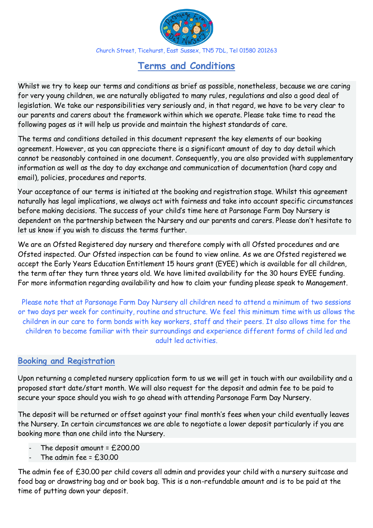

Church Street, Ticehurst, East Sussex, TN5 7DL, Tel 01580 201263

# **Terms and Conditions**

Whilst we try to keep our terms and conditions as brief as possible, nonetheless, because we are caring for very young children, we are naturally obligated to many rules, regulations and also a good deal of legislation. We take our responsibilities very seriously and, in that regard, we have to be very clear to our parents and carers about the framework within which we operate. Please take time to read the following pages as it will help us provide and maintain the highest standards of care.

The terms and conditions detailed in this document represent the key elements of our booking agreement. However, as you can appreciate there is a significant amount of day to day detail which cannot be reasonably contained in one document. Consequently, you are also provided with supplementary information as well as the day to day exchange and communication of documentation (hard copy and email), policies, procedures and reports.

Your acceptance of our terms is initiated at the booking and registration stage. Whilst this agreement naturally has legal implications, we always act with fairness and take into account specific circumstances before making decisions. The success of your child's time here at Parsonage Farm Day Nursery is dependent on the partnership between the Nursery and our parents and carers. Please don't hesitate to let us know if you wish to discuss the terms further.

We are an Ofsted Registered day nursery and therefore comply with all Ofsted procedures and are Ofsted inspected. Our Ofsted inspection can be found to view online. As we are Ofsted registered we accept the Early Years Education Entitlement 15 hours grant (EYEE) which is available for all children, the term after they turn three years old. We have limited availability for the 30 hours EYEE funding. For more information regarding availability and how to claim your funding please speak to Management.

Please note that at Parsonage Farm Day Nursery all children need to attend a minimum of two sessions or two days per week for continuity, routine and structure. We feel this minimum time with us allows the children in our care to form bonds with key workers, staff and their peers. It also allows time for the children to become familiar with their surroundings and experience different forms of child led and adult led activities.

#### **Booking and Registration**

Upon returning a completed nursery application form to us we will get in touch with our availability and a proposed start date/start month. We will also request for the deposit and admin fee to be paid to secure your space should you wish to go ahead with attending Parsonage Farm Day Nursery.

The deposit will be returned or offset against your final month's fees when your child eventually leaves the Nursery. In certain circumstances we are able to negotiate a lower deposit particularly if you are booking more than one child into the Nursery.

- The deposit amount =  $£200.00$
- The admin fee =  $f$  30.00

The admin fee of £30.00 per child covers all admin and provides your child with a nursery suitcase and food bag or drawstring bag and or book bag. This is a non-refundable amount and is to be paid at the time of putting down your deposit.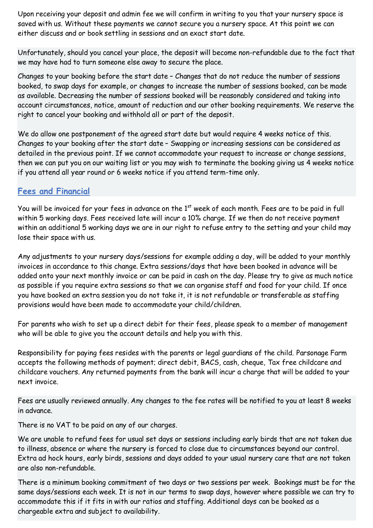Upon receiving your deposit and admin fee we will confirm in writing to you that your nursery space is saved with us. Without these payments we cannot secure you a nursery space. At this point we can either discuss and or book settling in sessions and an exact start date.

Unfortunately, should you cancel your place, the deposit will become non-refundable due to the fact that we may have had to turn someone else away to secure the place.

Changes to your booking before the start date – Changes that do not reduce the number of sessions booked, to swap days for example, or changes to increase the number of sessions booked, can be made as available. Decreasing the number of sessions booked will be reasonably considered and taking into account circumstances, notice, amount of reduction and our other booking requirements. We reserve the right to cancel your booking and withhold all or part of the deposit.

We do allow one postponement of the agreed start date but would require 4 weeks notice of this. Changes to your booking after the start date – Swapping or increasing sessions can be considered as detailed in the previous point. If we cannot accommodate your request to increase or change sessions, then we can put you on our waiting list or you may wish to terminate the booking giving us 4 weeks notice if you attend all year round or 6 weeks notice if you attend term-time only.

#### **Fees and Financial**

You will be invoiced for your fees in advance on the 1<sup>st</sup> week of each month. Fees are to be paid in full within 5 working days. Fees received late will incur a 10% charge. If we then do not receive payment within an additional 5 working days we are in our right to refuse entry to the setting and your child may lose their space with us.

Any adjustments to your nursery days/sessions for example adding a day, will be added to your monthly invoices in accordance to this change. Extra sessions/days that have been booked in advance will be added onto your next monthly invoice or can be paid in cash on the day. Please try to give as much notice as possible if you require extra sessions so that we can organise staff and food for your child. If once you have booked an extra session you do not take it, it is not refundable or transferable as staffing provisions would have been made to accommodate your child/children.

For parents who wish to set up a direct debit for their fees, please speak to a member of management who will be able to give you the account details and help you with this.

Responsibility for paying fees resides with the parents or legal guardians of the child. Parsonage Farm accepts the following methods of payment; direct debit, BACS, cash, cheque, Tax free childcare and childcare vouchers. Any returned payments from the bank will incur a charge that will be added to your next invoice.

Fees are usually reviewed annually. Any changes to the fee rates will be notified to you at least 8 weeks in advance.

There is no VAT to be paid on any of our charges.

We are unable to refund fees for usual set days or sessions including early birds that are not taken due to illness, absence or where the nursery is forced to close due to circumstances beyond our control. Extra ad hock hours, early birds, sessions and days added to your usual nursery care that are not taken are also non-refundable.

There is a minimum booking commitment of two days or two sessions per week. Bookings must be for the same days/sessions each week. It is not in our terms to swap days, however where possible we can try to accommodate this if it fits in with our ratios and staffing. Additional days can be booked as a chargeable extra and subject to availability.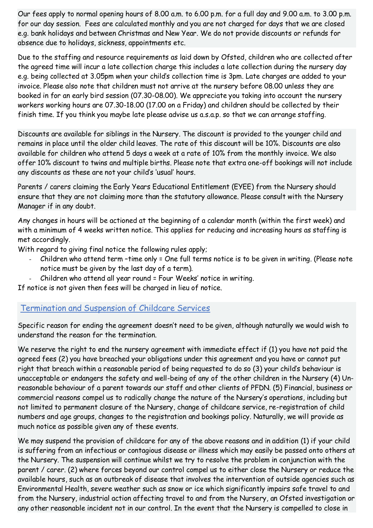Our fees apply to normal opening hours of 8.00 a.m. to 6.00 p.m. for a full day and 9.00 a.m. to 3.00 p.m. for our day session. Fees are calculated monthly and you are not charged for days that we are closed e.g. bank holidays and between Christmas and New Year. We do not provide discounts or refunds for absence due to holidays, sickness, appointments etc.

Due to the staffing and resource requirements as laid down by Ofsted, children who are collected after the agreed time will incur a late collection charge this includes a late collection during the nursery day e.g. being collected at 3.05pm when your child's collection time is 3pm. Late charges are added to your invoice. Please also note that children must not arrive at the nursery before 08.00 unless they are booked in for an early bird session (07.30-08.00). We appreciate you taking into account the nursery workers working hours are 07.30-18.00 (17.00 on a Friday) and children should be collected by their finish time. If you think you maybe late please advise us a.s.a.p. so that we can arrange staffing.

Discounts are available for siblings in the Nursery. The discount is provided to the younger child and remains in place until the older child leaves. The rate of this discount will be 10%. Discounts are also available for children who attend 5 days a week at a rate of 10% from the monthly invoice. We also offer 10% discount to twins and multiple births. Please note that extra one-off bookings will not include any discounts as these are not your child's 'usual' hours.

Parents / carers claiming the Early Years Educational Entitlement (EYEE) from the Nursery should ensure that they are not claiming more than the statutory allowance. Please consult with the Nursery Manager if in any doubt.

Any changes in hours will be actioned at the beginning of a calendar month (within the first week) and with a minimum of 4 weeks written notice. This applies for reducing and increasing hours as staffing is met accordingly.

With regard to giving final notice the following rules apply;

- Children who attend term -time only = One full terms notice is to be given in writing. (Please note notice must be given by the last day of a term).
- Children who attend all year round = Four Weeks' notice in writing.

If notice is not given then fees will be charged in lieu of notice.

## Termination and Suspension of Childcare Services

Specific reason for ending the agreement doesn't need to be given, although naturally we would wish to understand the reason for the termination.

We reserve the right to end the nursery agreement with immediate effect if (1) you have not paid the agreed fees (2) you have breached your obligations under this agreement and you have or cannot put right that breach within a reasonable period of being requested to do so (3) your child's behaviour is unacceptable or endangers the safety and well-being of any of the other children in the Nursery (4) Unreasonable behaviour of a parent towards our staff and other clients of PFDN. (5) Financial, business or commercial reasons compel us to radically change the nature of the Nursery's operations, including but not limited to permanent closure of the Nursery, change of childcare service, re-registration of child numbers and age groups, changes to the registration and bookings policy. Naturally, we will provide as much notice as possible given any of these events.

We may suspend the provision of childcare for any of the above reasons and in addition (1) if your child is suffering from an infectious or contagious disease or illness which may easily be passed onto others at the Nursery. The suspension will continue whilst we try to resolve the problem in conjunction with the parent / carer. (2) where forces beyond our control compel us to either close the Nursery or reduce the available hours, such as an outbreak of disease that involves the intervention of outside agencies such as Environmental Health, severe weather such as snow or ice which significantly impairs safe travel to and from the Nursery, industrial action affecting travel to and from the Nursery, an Ofsted investigation or any other reasonable incident not in our control. In the event that the Nursery is compelled to close in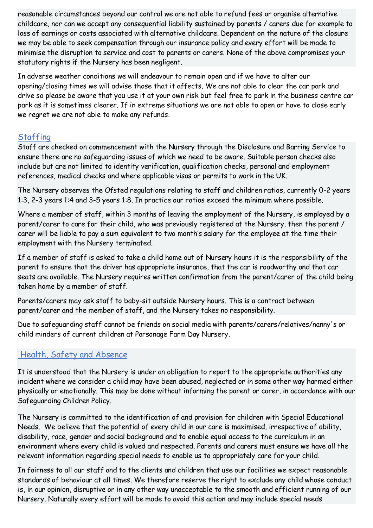reasonable circumstances beyond our control we are not able to refund fees or organise alternative childcare, nor can we accept any consequential liability sustained by parents / carers due for example to loss of earnings or costs associated with alternative childcare. Dependent on the nature of the closure we may be able to seek compensation through our insurance policy and every effort will be made to minimise the disruption to service and cost to parents or carers. None of the above compromises your statutory rights if the Nursery has been negligent.

In adverse weather conditions we will endeavour to remain open and if we have to alter our opening/closing times we will advise those that it affects. We are not able to clear the car park and drive so please be aware that you use it at your own risk but feel free to park in the business centre car park as it is sometimes clearer. If in extreme situations we are not able to open or have to close early we regret we are not able to make any refunds.

# **Staffing**

Staff are checked on commencement with the Nursery through the Disclosure and Barring Service to ensure there are no safeguarding issues of which we need to be aware. Suitable person checks also include but are not limited to identity verification, qualification checks, personal and employment references, medical checks and where applicable visas or permits to work in the UK.

The Nursery observes the Ofsted regulations relating to staff and children ratios, currently 0-2 years 1:3, 2-3 years 1:4 and 3-5 years 1:8. In practice our ratios exceed the minimum where possible.

Where a member of staff, within 3 months of leaving the employment of the Nursery, is employed by a parent/carer to care for their child, who was previously registered at the Nursery, then the parent / carer will be liable to pay a sum equivalent to two month's salary for the employee at the time their employment with the Nursery terminated.

If a member of staff is asked to take a child home out of Nursery hours it is the responsibility of the parent to ensure that the driver has appropriate insurance, that the car is roadworthy and that car seats are available. The Nursery requires written confirmation from the parent/carer of the child being taken home by a member of staff.

Parents/carers may ask staff to baby-sit outside Nursery hours. This is a contract between parent/carer and the member of staff, and the Nursery takes no responsibility.

Due to safeguarding staff cannot be friends on social media with parents/carers/relatives/nanny's or child minders of current children at Parsonage Farm Day Nursery.

# Health, Safety and Absence

It is understood that the Nursery is under an obligation to report to the appropriate authorities any incident where we consider a child may have been abused, neglected or in some other way harmed either physically or emotionally. This may be done without informing the parent or carer, in accordance with our Safeguarding Children Policy.

The Nursery is committed to the identification of and provision for children with Special Educational Needs. We believe that the potential of every child in our care is maximised, irrespective of ability, disability, race, gender and social background and to enable equal access to the curriculum in an environment where every child is valued and respected. Parents and carers must ensure we have all the relevant information regarding special needs to enable us to appropriately care for your child.

In fairness to all our staff and to the clients and children that use our facilities we expect reasonable standards of behaviour at all times. We therefore reserve the right to exclude any child whose conduct is, in our opinion, disruptive or in any other way unacceptable to the smooth and efficient running of our Nursery. Naturally every effort will be made to avoid this action and may include special needs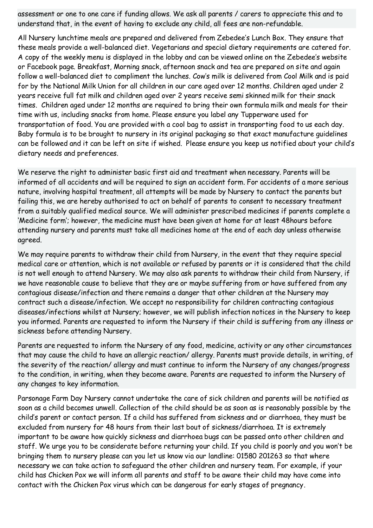assessment or one to one care if funding allows. We ask all parents / carers to appreciate this and to understand that, in the event of having to exclude any child, all fees are non-refundable.

All Nursery lunchtime meals are prepared and delivered from Zebedee's Lunch Box. They ensure that these meals provide a well-balanced diet. Vegetarians and special dietary requirements are catered for. A copy of the weekly menu is displayed in the lobby and can be viewed online on the Zebedee's website or Facebook page. Breakfast, Morning snack, afternoon snack and tea are prepared on site and again follow a well-balanced diet to compliment the lunches. Cow's milk is delivered from Cool Milk and is paid for by the National Milk Union for all children in our care aged over 12 months. Children aged under 2 years receive full fat milk and children aged over 2 years receive semi skinned milk for their snack times. Children aged under 12 months are required to bring their own formula milk and meals for their time with us, including snacks from home. Please ensure you label any Tupperware used for transportation of food. You are provided with a cool bag to assist in transporting food to us each day. Baby formula is to be brought to nursery in its original packaging so that exact manufacture guidelines can be followed and it can be left on site if wished. Please ensure you keep us notified about your child's dietary needs and preferences.

We reserve the right to administer basic first aid and treatment when necessary. Parents will be informed of all accidents and will be required to sign an accident form. For accidents of a more serious nature, involving hospital treatment, all attempts will be made by Nursery to contact the parents but failing this, we are hereby authorised to act on behalf of parents to consent to necessary treatment from a suitably qualified medical source. We will administer prescribed medicines if parents complete a 'Medicine form'; however, the medicine must have been given at home for at least 48hours before attending nursery and parents must take all medicines home at the end of each day unless otherwise agreed.

We may require parents to withdraw their child from Nursery, in the event that they require special medical care or attention, which is not available or refused by parents or it is considered that the child is not well enough to attend Nursery. We may also ask parents to withdraw their child from Nursery, if we have reasonable cause to believe that they are or maybe suffering from or have suffered from any contagious disease/infection and there remains a danger that other children at the Nursery may contract such a disease/infection. We accept no responsibility for children contracting contagious diseases/infections whilst at Nursery; however, we will publish infection notices in the Nursery to keep you informed. Parents are requested to inform the Nursery if their child is suffering from any illness or sickness before attending Nursery.

Parents are requested to inform the Nursery of any food, medicine, activity or any other circumstances that may cause the child to have an allergic reaction/ allergy. Parents must provide details, in writing, of the severity of the reaction/ allergy and must continue to inform the Nursery of any changes/progress to the condition, in writing, when they become aware. Parents are requested to inform the Nursery of any changes to key information.

Parsonage Farm Day Nursery cannot undertake the care of sick children and parents will be notified as soon as a child becomes unwell. Collection of the child should be as soon as is reasonably possible by the child's parent or contact person. If a child has suffered from sickness and or diarrhoea, they must be excluded from nursery for 48 hours from their last bout of sickness/diarrhoea. It is extremely important to be aware how quickly sickness and diarrhoea bugs can be passed onto other children and staff. We urge you to be considerate before returning your child. If you child is poorly and you won't be bringing them to nursery please can you let us know via our landline: 01580 201263 so that where necessary we can take action to safeguard the other children and nursery team. For example, if your child has Chicken Pox we will inform all parents and staff to be aware their child may have come into contact with the Chicken Pox virus which can be dangerous for early stages of pregnancy.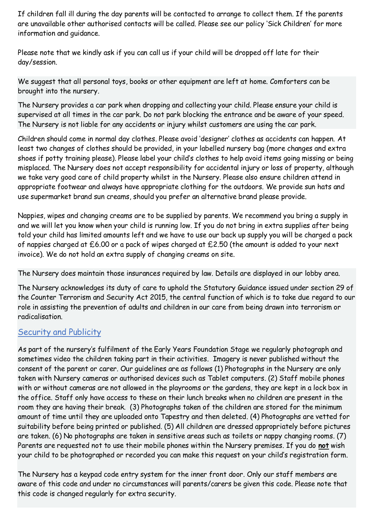If children fall ill during the day parents will be contacted to arrange to collect them. If the parents are unavailable other authorised contacts will be called. Please see our policy 'Sick Children' for more information and guidance.

Please note that we kindly ask if you can call us if your child will be dropped off late for their day/session.

We suggest that all personal toys, books or other equipment are left at home. Comforters can be brought into the nursery.

The Nursery provides a car park when dropping and collecting your child. Please ensure your child is supervised at all times in the car park. Do not park blocking the entrance and be aware of your speed. The Nursery is not liable for any accidents or injury whilst customers are using the car park.

Children should come in normal day clothes. Please avoid 'designer' clothes as accidents can happen. At least two changes of clothes should be provided, in your labelled nursery bag (more changes and extra shoes if potty training please). Please label your child's clothes to help avoid items going missing or being misplaced. The Nursery does not accept responsibility for accidental injury or loss of property, although we take very good care of child property whilst in the Nursery. Please also ensure children attend in appropriate footwear and always have appropriate clothing for the outdoors. We provide sun hats and use supermarket brand sun creams, should you prefer an alternative brand please provide.

Nappies, wipes and changing creams are to be supplied by parents. We recommend you bring a supply in and we will let you know when your child is running low. If you do not bring in extra supplies after being told your child has limited amounts left and we have to use our back up supply you will be charged a pack of nappies charged at £6.00 or a pack of wipes charged at £2.50 (the amount is added to your next invoice). We do not hold an extra supply of changing creams on site.

The Nursery does maintain those insurances required by law. Details are displayed in our lobby area.

The Nursery acknowledges its duty of care to uphold the Statutory Guidance issued under section 29 of the Counter Terrorism and Security Act 2015, the central function of which is to take due regard to our role in assisting the prevention of adults and children in our care from being drawn into terrorism or radicalisation.

## Security and Publicity

As part of the nursery's fulfilment of the Early Years Foundation Stage we regularly photograph and sometimes video the children taking part in their activities. Imagery is never published without the consent of the parent or carer. Our guidelines are as follows (1) Photographs in the Nursery are only taken with Nursery cameras or authorised devices such as Tablet computers. (2) Staff mobile phones with or without cameras are not allowed in the playrooms or the gardens, they are kept in a lock box in the office. Staff only have access to these on their lunch breaks when no children are present in the room they are having their break. (3) Photographs taken of the children are stored for the minimum amount of time until they are uploaded onto Tapestry and then deleted. (4) Photographs are vetted for suitability before being printed or published. (5) All children are dressed appropriately before pictures are taken. (6) No photographs are taken in sensitive areas such as toilets or nappy changing rooms. (7) Parents are requested not to use their mobile phones within the Nursery premises. If you do **not** wish your child to be photographed or recorded you can make this request on your child's registration form.

The Nursery has a keypad code entry system for the inner front door. Only our staff members are aware of this code and under no circumstances will parents/carers be given this code. Please note that this code is changed regularly for extra security.